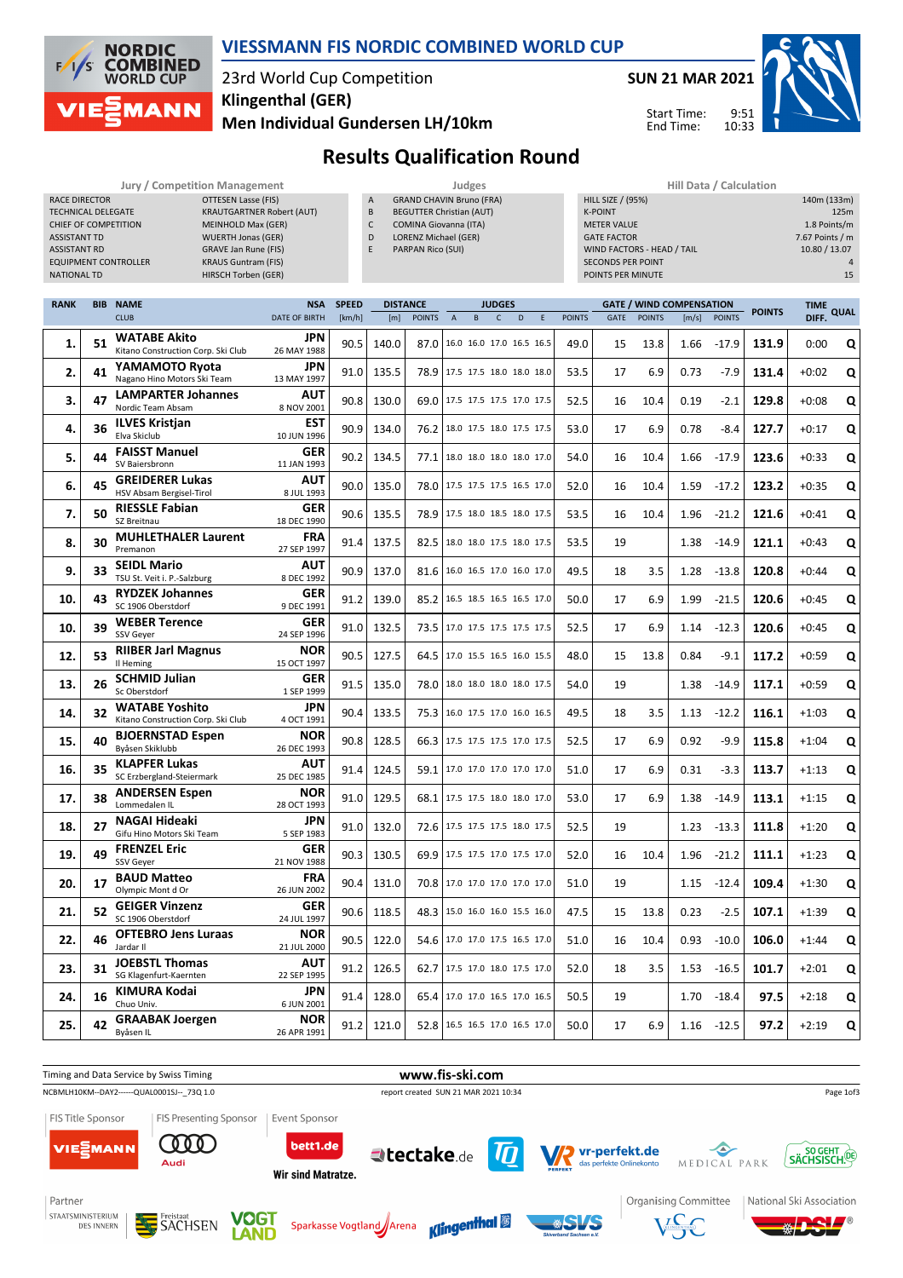

#### **VIESSMANN FIS NORDIC COMBINED WORLD CUP**

# 23rd World Cup Competition **Klingenthal (GER)**

**Men Individual Gundersen LH/10km**



Start Time: End Time:



<sup>'</sup>®

## **Results Qualification Round**

|                             | Jury / Competition Management    |   | Judges                          | <b>Hill Data / Calculation</b> |
|-----------------------------|----------------------------------|---|---------------------------------|--------------------------------|
| RACE DIRECTOR               | OTTESEN Lasse (FIS)              | A | <b>GRAND CHAVIN Bruno (FRA)</b> | HILL SIZE / (95%)              |
| <b>TECHNICAL DELEGATE</b>   | <b>KRAUTGARTNER Robert (AUT)</b> | B | <b>BEGUTTER Christian (AUT)</b> | <b>K-POINT</b>                 |
| CHIEF OF COMPETITION        | <b>MEINHOLD Max (GER)</b>        |   | <b>COMINA Giovanna (ITA)</b>    | <b>METER VALUE</b>             |
| <b>ASSISTANT TD</b>         | <b>WUERTH Jonas (GER)</b>        | D | LORENZ Michael (GER)            | <b>GATE FACTOR</b>             |
| <b>ASSISTANT RD</b>         | GRAVE Jan Rune (FIS)             | E | PARPAN Rico (SUI)               | WIND FACTORS - HEAD / TAIL     |
| <b>EQUIPMENT CONTROLLER</b> | <b>KRAUS Guntram (FIS)</b>       |   |                                 | <b>SECONDS PER POINT</b>       |
| NATIONAL TD                 | HIRSCH Torben (GER)              |   |                                 | POINTS PER MINUTE              |

- GRAND CHAVIN Bruno (FRA) BEGUTTER Christian (AUT) COMINA Giovanna (ITA) D LORENZ Michael (GER)
- PARPAN Rico (SUI)

| Hill Data / Calculation    |                 |
|----------------------------|-----------------|
| HILL SIZE / (95%)          | 140m (133m)     |
| <b>K-POINT</b>             | 125m            |
| <b>METER VALUE</b>         | 1.8 Points/m    |
| <b>GATE FACTOR</b>         | 7.67 Points / m |
| WIND FACTORS - HEAD / TAIL | 10.80 / 13.07   |
| <b>SECONDS PER POINT</b>   | $\Delta$        |
| POINTS PER MINUTE          | 15              |
|                            |                 |

9:51 10:33

| <b>RANK</b> |    | <b>BIB NAME</b>                                             | <b>NSA</b>                | <b>SPEED</b> |       | <b>DISTANCE</b> |                                   | <b>JUDGES</b> |             |             |               |             |               | <b>GATE / WIND COMPENSATION</b> |               | <b>POINTS</b> | <b>TIME</b> | <b>QUAL</b> |  |
|-------------|----|-------------------------------------------------------------|---------------------------|--------------|-------|-----------------|-----------------------------------|---------------|-------------|-------------|---------------|-------------|---------------|---------------------------------|---------------|---------------|-------------|-------------|--|
|             |    | <b>CLUB</b>                                                 | <b>DATE OF BIRTH</b>      | [km/h]       | [m]   | <b>POINTS</b>   | $\overline{A}$<br>$\, {\bf B} \,$ | $\mathsf{C}$  | $\mathsf D$ | $\mathsf E$ | <b>POINTS</b> | <b>GATE</b> | <b>POINTS</b> | [m/s]                           | <b>POINTS</b> |               | DIFF.       |             |  |
| 1.          | 51 | <b>WATABE Akito</b><br>Kitano Construction Corp. Ski Club   | <b>JPN</b><br>26 MAY 1988 | 90.5         | 140.0 | 87.0            | 16.0 16.0 17.0 16.5 16.5          |               |             |             | 49.0          | 15          | 13.8          | 1.66                            | $-17.9$       | 131.9         | 0:00        | Q           |  |
| 2.          | 41 | YAMAMOTO Ryota<br>Nagano Hino Motors Ski Team               | <b>JPN</b><br>13 MAY 1997 | 91.0         | 135.5 | 78.9            | 17.5 17.5 18.0 18.0 18.0          |               |             |             | 53.5          | 17          | 6.9           | 0.73                            | $-7.9$        | 131.4         | $+0:02$     | Q           |  |
| 3.          | 47 | <b>LAMPARTER Johannes</b><br>Nordic Team Absam              | <b>AUT</b><br>8 NOV 2001  | 90.8         | 130.0 |                 | 69.0 17.5 17.5 17.5 17.0 17.5     |               |             |             | 52.5          | 16          | 10.4          | 0.19                            | $-2.1$        | 129.8         | $+0:08$     | Q           |  |
| 4.          | 36 | <b>ILVES Kristjan</b><br>Elva Skiclub                       | <b>EST</b><br>10 JUN 1996 | 90.9         | 134.0 |                 | 76.2   18.0 17.5 18.0 17.5 17.5   |               |             |             | 53.0          | 17          | 6.9           | 0.78                            | -8.4          | 127.7         | $+0:17$     | Q           |  |
| 5.          | 44 | <b>FAISST Manuel</b><br>SV Baiersbronn                      | GER<br>11 JAN 1993        | 90.2         | 134.5 | 77.1            | 18.0 18.0 18.0 18.0 17.0          |               |             |             | 54.0          | 16          | 10.4          | 1.66                            | $-17.9$       | 123.6         | $+0:33$     | Q           |  |
| 6.          | 45 | <b>GREIDERER Lukas</b><br>HSV Absam Bergisel-Tirol          | <b>AUT</b><br>8 JUL 1993  | 90.0         | 135.0 |                 | 78.0 17.5 17.5 17.5 16.5 17.0     |               |             |             | 52.0          | 16          | 10.4          | 1.59                            | $-17.2$       | 123.2         | $+0:35$     | Q           |  |
| 7.          | 50 | <b>RIESSLE Fabian</b><br>SZ Breitnau                        | <b>GER</b><br>18 DEC 1990 | 90.6         | 135.5 | 78.9            | 17.5 18.0 18.5 18.0 17.5          |               |             |             | 53.5          | 16          | 10.4          | 1.96                            | $-21.2$       | 121.6         | $+0:41$     | Q           |  |
| 8.          | 30 | <b>MUHLETHALER Laurent</b><br>Premanon                      | <b>FRA</b><br>27 SEP 1997 | 91.4         | 137.5 | 82.5            | 18.0 18.0 17.5 18.0 17.5          |               |             |             | 53.5          | 19          |               | 1.38                            | $-14.9$       | 121.1         | $+0:43$     | Q           |  |
| 9.          | 33 | <b>SEIDL Mario</b><br>TSU St. Veit i. P.-Salzburg           | <b>AUT</b><br>8 DEC 1992  | 90.9         | 137.0 | 81.6            | 16.0 16.5 17.0 16.0 17.0          |               |             |             | 49.5          | 18          | 3.5           | 1.28                            | $-13.8$       | 120.8         | $+0:44$     | Q           |  |
| 10.         | 43 | <b>RYDZEK Johannes</b><br>SC 1906 Oberstdorf                | GER<br>9 DEC 1991         | 91.2         | 139.0 |                 | 85.2 16.5 18.5 16.5 16.5 17.0     |               |             |             | 50.0          | 17          | 6.9           | 1.99                            | $-21.5$       | 120.6         | $+0:45$     | Q           |  |
| 10.         | 39 | <b>WEBER Terence</b><br>SSV Gever                           | GER<br>24 SEP 1996        | 91.0         | 132.5 | 73.5            | 17.0 17.5 17.5 17.5 17.5          |               |             |             | 52.5          | 17          | 6.9           | 1.14                            | $-12.3$       | 120.6         | $+0:45$     | Q           |  |
| 12.         | 53 | <b>RIIBER Jarl Magnus</b><br>Il Heming                      | NOR<br>15 OCT 1997        | 90.5         | 127.5 | 64.5            | 17.0 15.5 16.5 16.0 15.5          |               |             |             | 48.0          | 15          | 13.8          | 0.84                            | $-9.1$        | 117.2         | $+0:59$     | Q           |  |
| 13.         | 26 | <b>SCHMID Julian</b><br>Sc Oberstdorf                       | GER<br>1 SEP 1999         | 91.5         | 135.0 | 78.0            | 18.0 18.0 18.0 18.0 17.5          |               |             |             | 54.0          | 19          |               | 1.38                            | $-14.9$       | 117.1         | $+0:59$     | Q           |  |
| 14.         | 32 | <b>WATABE Yoshito</b><br>Kitano Construction Corp. Ski Club | <b>JPN</b><br>4 OCT 1991  | 90.4         | 133.5 | 75.3            | 16.0 17.5 17.0 16.0 16.5          |               |             |             | 49.5          | 18          | 3.5           | 1.13                            | $-12.2$       | 116.1         | $+1:03$     | Q           |  |
| 15.         | 40 | <b>BJOERNSTAD Espen</b><br>Byåsen Skiklubb                  | NOR<br>26 DEC 1993        | 90.8         | 128.5 |                 | 66.3 17.5 17.5 17.5 17.0 17.5     |               |             |             | 52.5          | 17          | 6.9           | 0.92                            | $-9.9$        | 115.8         | $+1:04$     | Q           |  |
| 16.         | 35 | <b>KLAPFER Lukas</b><br>SC Erzbergland-Steiermark           | AUT<br>25 DEC 1985        | 91.4         | 124.5 |                 | 59.1 17.0 17.0 17.0 17.0 17.0     |               |             |             | 51.0          | 17          | 6.9           | 0.31                            | -3.3          | 113.7         | $+1:13$     | Q           |  |
| 17.         | 38 | <b>ANDERSEN Espen</b><br>Lommedalen IL                      | <b>NOR</b><br>28 OCT 1993 | 91.0         | 129.5 | 68.1            | 17.5 17.5 18.0 18.0 17.0          |               |             |             | 53.0          | 17          | 6.9           | 1.38                            | $-14.9$       | 113.1         | $+1:15$     | Q           |  |
| 18.         | 27 | <b>NAGAI Hideaki</b><br>Gifu Hino Motors Ski Team           | <b>JPN</b><br>5 SEP 1983  | 91.0         | 132.0 |                 | 72.6 17.5 17.5 17.5 18.0 17.5     |               |             |             | 52.5          | 19          |               | 1.23                            | $-13.3$       | 111.8         | $+1:20$     | Q           |  |
| 19.         | 49 | <b>FRENZEL Eric</b><br>SSV Geyer                            | <b>GER</b><br>21 NOV 1988 | 90.3         | 130.5 | 69.9            | 17.5 17.5 17.0 17.5 17.0          |               |             |             | 52.0          | 16          | 10.4          | 1.96                            | $-21.2$       | 111.1         | $+1:23$     | Q           |  |
| 20.         | 17 | <b>BAUD Matteo</b><br>Olympic Mont d Or                     | <b>FRA</b><br>26 JUN 2002 | 90.4         | 131.0 |                 | 70.8 17.0 17.0 17.0 17.0 17.0     |               |             |             | 51.0          | 19          |               | 1.15                            | $-12.4$       | 109.4         | $+1:30$     | Q           |  |
| 21.         | 52 | <b>GEIGER Vinzenz</b><br>SC 1906 Oberstdorf                 | GER<br>24 JUL 1997        | 90.6         | 118.5 |                 | 48.3 15.0 16.0 16.0 15.5 16.0     |               |             |             | 47.5          | 15          | 13.8          | 0.23                            | $-2.5$        | 107.1         | $+1:39$     | Q           |  |
| 22.         | 46 | <b>OFTEBRO Jens Luraas</b><br>Jardar II                     | <b>NOR</b><br>21 JUL 2000 | 90.5         | 122.0 | 54.6            | 17.0 17.0 17.5 16.5 17.0          |               |             |             | 51.0          | 16          | 10.4          | 0.93                            | $-10.0$       | 106.0         | $+1:44$     | Q           |  |
| 23.         | 31 | <b>JOEBSTL Thomas</b><br>SG Klagenfurt-Kaernten             | <b>AUT</b><br>22 SEP 1995 | 91.2         | 126.5 |                 | 62.7 17.5 17.0 18.0 17.5 17.0     |               |             |             | 52.0          | 18          | 3.5           | 1.53                            | $-16.5$       | 101.7         | $+2:01$     | Q           |  |
| 24.         | 16 | <b>KIMURA Kodai</b><br>Chuo Univ.                           | <b>JPN</b><br>6 JUN 2001  | 91.4         | 128.0 | 65.4            | 17.0 17.0 16.5 17.0 16.5          |               |             |             | 50.5          | 19          |               | 1.70                            | $-18.4$       | 97.5          | $+2:18$     | Q           |  |
| 25.         | 42 | <b>GRAABAK Joergen</b><br>Bvåsen IL                         | <b>NOR</b><br>26 APR 1991 | 91.2         | 121.0 |                 | 52.8 16.5 16.5 17.0 16.5 17.0     |               |             |             | 50.0          | 17          | 6.9           | 1.16                            | $-12.5$       | 97.2          | $+2:19$     | Q           |  |



DES INNERN





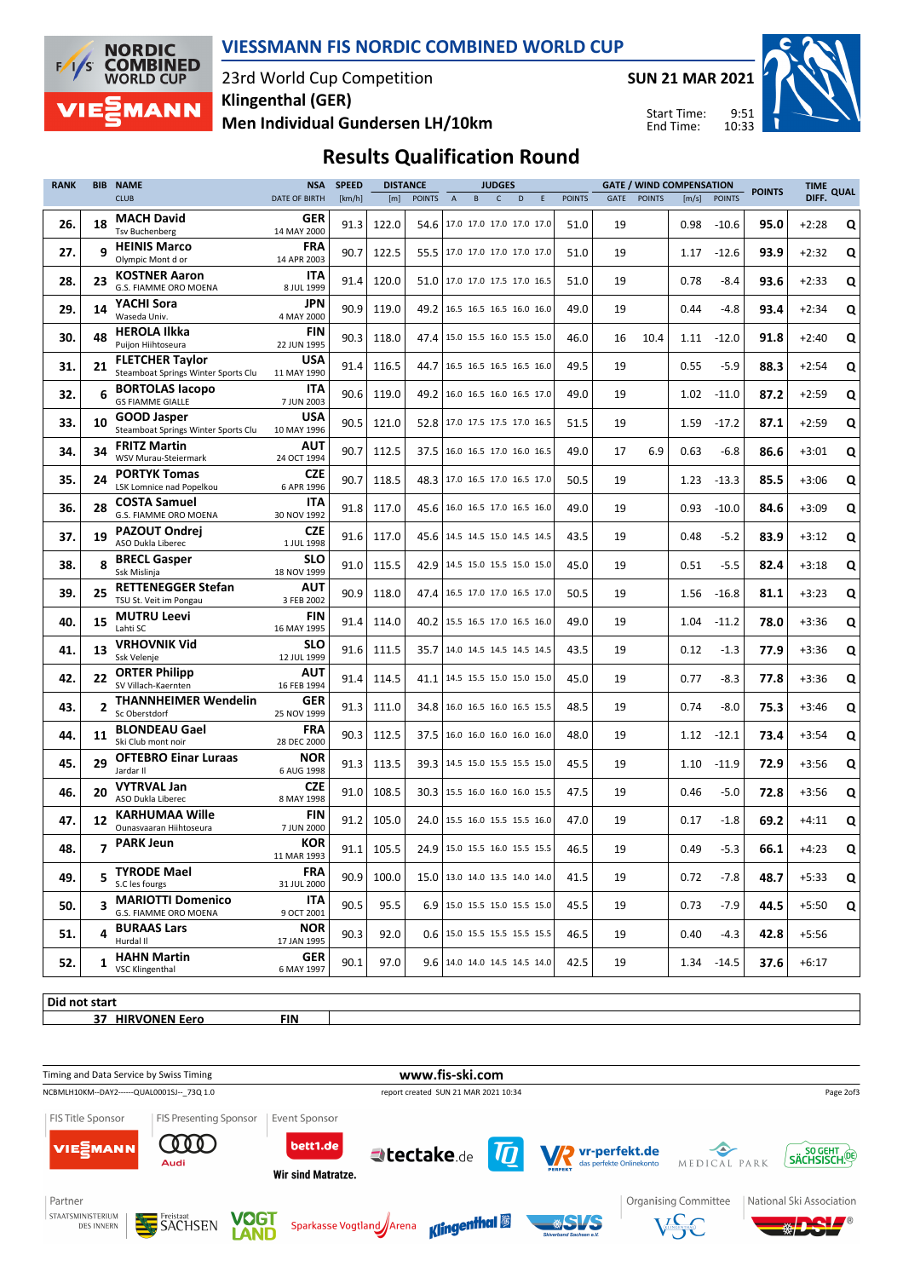

#### **VIESSMANN FIS NORDIC COMBINED WORLD CUP**

### 23rd World Cup Competition **Men Individual Gundersen LH/10km Klingenthal (GER)**

**SUN 21 MAR 2021**



9:51 10:33 Start Time: End Time:

# **Results Qualification Round**

| <b>RANK</b> | <b>BIB NAME</b> |                                                               | <b>NSA</b>                | <b>SPEED</b> | <b>DISTANCE</b> |                                 | <b>JUDGES</b>  |                                 |              |   |   |               | <b>GATE / WIND COMPENSATION</b> |               | <b>POINTS</b> | TIME<br><b>QUAL</b> |      |         |   |
|-------------|-----------------|---------------------------------------------------------------|---------------------------|--------------|-----------------|---------------------------------|----------------|---------------------------------|--------------|---|---|---------------|---------------------------------|---------------|---------------|---------------------|------|---------|---|
|             |                 | <b>CLUB</b>                                                   | DATE OF BIRTH             | [km/h]       | [m]             | <b>POINTS</b>                   | $\overline{A}$ | B                               | $\mathsf{C}$ | D | E | <b>POINTS</b> | GATE                            | <b>POINTS</b> | [m/s]         | <b>POINTS</b>       |      | DIFF.   |   |
| 26.         | 18              | <b>MACH David</b><br><b>Tsv Buchenberg</b>                    | GER<br>14 MAY 2000        | 91.3         | 122.0           | 54.6                            |                | 17.0 17.0 17.0 17.0 17.0        |              |   |   | 51.0          | 19                              |               | 0.98          | $-10.6$             | 95.0 | $+2:28$ | Q |
| 27.         | q               | <b>HEINIS Marco</b><br>Olympic Mont d or                      | FRA<br>14 APR 2003        | 90.7         | 122.5           | 55.5                            |                | 17.0 17.0 17.0 17.0 17.0        |              |   |   | 51.0          | 19                              |               | 1.17          | $-12.6$             | 93.9 | $+2:32$ | Q |
| 28.         | 23              | <b>KOSTNER Aaron</b><br>G.S. FIAMME ORO MOENA                 | ITA<br>8 JUL 1999         | 91.4         | 120.0           | 51.0   17.0 17.0 17.5 17.0 16.5 |                |                                 |              |   |   | 51.0          | 19                              |               | 0.78          | -8.4                | 93.6 | $+2:33$ | Q |
| 29.         | 14              | YACHI Sora<br>Waseda Univ.                                    | JPN<br>4 MAY 2000         | 90.9         | 119.0           | 49.2                            |                | 16.5 16.5 16.5 16.0 16.0        |              |   |   | 49.0          | 19                              |               | 0.44          | $-4.8$              | 93.4 | $+2:34$ | Q |
| 30.         | 48              | <b>HEROLA Ilkka</b><br>Puijon Hiihtoseura                     | FIN<br>22 JUN 1995        | 90.3         | 118.0           | 47.4                            |                | 15.0 15.5 16.0 15.5 15.0        |              |   |   | 46.0          | 16                              | 10.4          | 1.11          | $-12.0$             | 91.8 | $+2:40$ | Q |
| 31.         | 21              | <b>FLETCHER Taylor</b><br>Steamboat Springs Winter Sports Clu | <b>USA</b><br>11 MAY 1990 | 91.4         | 116.5           | 44.7                            |                | 16.5 16.5 16.5 16.5 16.0        |              |   |   | 49.5          | 19                              |               | 0.55          | $-5.9$              | 88.3 | $+2:54$ | Q |
| 32.         | 6               | <b>BORTOLAS lacopo</b><br><b>GS FIAMME GIALLE</b>             | ITA<br>7 JUN 2003         | 90.6         | 119.0           | 49.2                            |                | 16.0 16.5 16.0 16.5 17.0        |              |   |   | 49.0          | 19                              |               | 1.02          | $-11.0$             | 87.2 | $+2:59$ | Q |
| 33.         | 10              | <b>GOOD Jasper</b><br>Steamboat Springs Winter Sports Clu     | <b>USA</b><br>10 MAY 1996 | 90.5         | 121.0           | 52.8                            |                | 17.0 17.5 17.5 17.0 16.5        |              |   |   | 51.5          | 19                              |               | 1.59          | $-17.2$             | 87.1 | $+2:59$ | Q |
| 34.         | 34              | <b>FRITZ Martin</b><br>WSV Murau-Steiermark                   | <b>AUT</b><br>24 OCT 1994 | 90.7         | 112.5           | 37.5                            |                | 16.0 16.5 17.0 16.0 16.5        |              |   |   | 49.0          | 17                              | 6.9           | 0.63          | $-6.8$              | 86.6 | $+3:01$ | Q |
| 35.         | 24              | <b>PORTYK Tomas</b><br>LSK Lomnice nad Popelkou               | <b>CZE</b><br>6 APR 1996  | 90.7         | 118.5           | 48.3                            |                | 17.0 16.5 17.0 16.5 17.0        |              |   |   | 50.5          | 19                              |               | 1.23          | $-13.3$             | 85.5 | $+3:06$ | Q |
| 36.         | 28              | <b>COSTA Samuel</b><br>G.S. FIAMME ORO MOENA                  | ITA<br>30 NOV 1992        | 91.8         | 117.0           | 45.6 16.0 16.5 17.0 16.5 16.0   |                |                                 |              |   |   | 49.0          | 19                              |               | 0.93          | $-10.0$             | 84.6 | $+3:09$ | Q |
| 37.         | 19              | <b>PAZOUT Ondrej</b><br>ASO Dukla Liberec                     | <b>CZE</b><br>1 JUL 1998  | 91.6         | 117.0           | 45.6   14.5 14.5 15.0 14.5 14.5 |                |                                 |              |   |   | 43.5          | 19                              |               | 0.48          | $-5.2$              | 83.9 | $+3:12$ | Q |
| 38.         | 8               | <b>BRECL Gasper</b><br>Ssk Mislinja                           | <b>SLO</b><br>18 NOV 1999 | 91.0         | 115.5           | 42.9                            |                | 14.5 15.0 15.5 15.0 15.0        |              |   |   | 45.0          | 19                              |               | 0.51          | $-5.5$              | 82.4 | $+3:18$ | Q |
| 39.         | 25              | <b>RETTENEGGER Stefan</b><br>TSU St. Veit im Pongau           | <b>AUT</b><br>3 FEB 2002  | 90.9         | 118.0           | 47.4                            |                | 16.5 17.0 17.0 16.5 17.0        |              |   |   | 50.5          | 19                              |               | 1.56          | $-16.8$             | 81.1 | $+3:23$ | Q |
| 40.         | 15              | <b>MUTRU Leevi</b><br>Lahti SC                                | <b>FIN</b><br>16 MAY 1995 | 91.4         | 114.0           | 40.2   15.5 16.5 17.0 16.5 16.0 |                |                                 |              |   |   | 49.0          | 19                              |               | 1.04          | $-11.2$             | 78.0 | $+3:36$ | Q |
| 41.         | 13              | <b>VRHOVNIK Vid</b><br>Ssk Velenje                            | <b>SLO</b><br>12 JUL 1999 | 91.6         | 111.5           | 35.7                            |                | 14.0 14.5 14.5 14.5 14.5        |              |   |   | 43.5          | 19                              |               | 0.12          | $-1.3$              | 77.9 | $+3:36$ | Q |
| 42.         | 22              | <b>ORTER Philipp</b><br>SV Villach-Kaernten                   | AUT<br>16 FEB 1994        | 91.4         | 114.5           | 41.1                            |                | 14.5 15.5 15.0 15.0 15.0        |              |   |   | 45.0          | 19                              |               | 0.77          | $-8.3$              | 77.8 | $+3:36$ | Q |
| 43.         | $\overline{2}$  | <b>THANNHEIMER Wendelin</b><br>Sc Oberstdorf                  | GER<br>25 NOV 1999        | 91.3         | 111.0           | 34.8                            |                | 16.0 16.5 16.0 16.5 15.5        |              |   |   | 48.5          | 19                              |               | 0.74          | $-8.0$              | 75.3 | $+3:46$ | Q |
| 44.         | 11              | <b>BLONDEAU Gael</b><br>Ski Club mont noir                    | FRA<br>28 DEC 2000        | 90.3         | 112.5           | 37.5                            |                | 16.0 16.0 16.0 16.0 16.0        |              |   |   | 48.0          | 19                              |               | 1.12          | $-12.1$             | 73.4 | $+3:54$ | Q |
| 45.         | 29              | <b>OFTEBRO Einar Luraas</b><br>Jardar II                      | NOR<br>6 AUG 1998         | 91.3         | 113.5           | 39.3   14.5 15.0 15.5 15.5 15.0 |                |                                 |              |   |   | 45.5          | 19                              |               | 1.10          | $-11.9$             | 72.9 | $+3:56$ | Q |
| 46.         | 20              | <b>VYTRVAL Jan</b><br>ASO Dukla Liberec                       | CZE<br>8 MAY 1998         | 91.0         | 108.5           |                                 |                | 30.3   15.5 16.0 16.0 16.0 15.5 |              |   |   | 47.5          | 19                              |               | 0.46          | $-5.0$              | 72.8 | $+3:56$ | Q |
| 47.         | 12              | <b>KARHUMAA Wille</b><br>Ounasvaaran Hiihtoseura              | FIN<br>7 JUN 2000         | 91.2         | 105.0           | 24.0                            |                | 15.5 16.0 15.5 15.5 16.0        |              |   |   | 47.0          | 19                              |               | 0.17          | $-1.8$              | 69.2 | $+4:11$ | Q |
| 48.         |                 | <b>PARK Jeun</b>                                              | <b>KOR</b><br>11 MAR 1993 | 91.1         | 105.5           |                                 |                | 24.9 15.0 15.5 16.0 15.5 15.5   |              |   |   | 46.5          | 19                              |               | 0.49          | $-5.3$              | 66.1 | $+4:23$ | Q |
| 49.         |                 | <b>TYRODE Mael</b><br>S.C les fourgs                          | <b>FRA</b><br>31 JUL 2000 | 90.9         | 100.0           | 15.0   13.0 14.0 13.5 14.0 14.0 |                |                                 |              |   |   | 41.5          | 19                              |               | 0.72          | $-7.8$              | 48.7 | $+5:33$ | Q |
| 50.         | 3               | <b>MARIOTTI Domenico</b><br>G.S. FIAMME ORO MOENA             | ITA<br>9 OCT 2001         | 90.5         | 95.5            |                                 |                | 6.9 15.0 15.5 15.0 15.5 15.0    |              |   |   | 45.5          | 19                              |               | 0.73          | $-7.9$              | 44.5 | $+5:50$ | Q |
| 51.         | 4               | <b>BURAAS Lars</b><br>Hurdal II                               | <b>NOR</b><br>17 JAN 1995 | 90.3         | 92.0            |                                 |                | 0.6   15.0 15.5 15.5 15.5 15.5  |              |   |   | 46.5          | 19                              |               | 0.40          | $-4.3$              | 42.8 | $+5:56$ |   |
| 52.         | 1               | <b>HAHN Martin</b><br><b>VSC Klingenthal</b>                  | <b>GER</b><br>6 MAY 1997  | 90.1         | 97.0            |                                 |                | 9.6 14.0 14.0 14.5 14.5 14.0    |              |   |   | 42.5          | 19                              |               |               | 1.34 -14.5          | 37.6 | $+6:17$ |   |
|             |                 |                                                               |                           |              |                 |                                 |                |                                 |              |   |   |               |                                 |               |               |                     |      |         |   |

**Did not start**

**37 HIRVONEN Eero FIN**